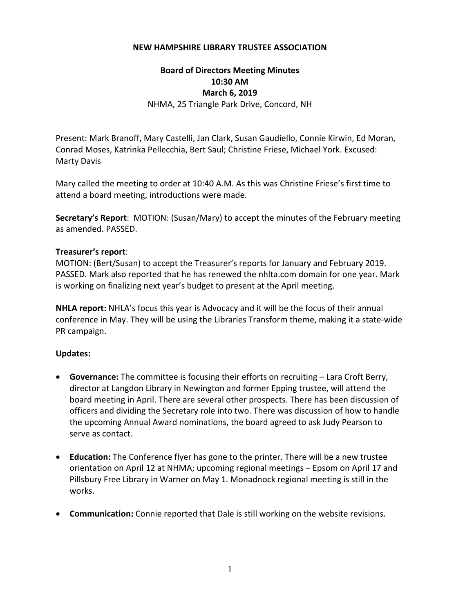## **NEW HAMPSHIRE LIBRARY TRUSTEE ASSOCIATION**

## **Board of Directors Meeting Minutes 10:30 AM March 6, 2019** NHMA, 25 Triangle Park Drive, Concord, NH

Present: Mark Branoff, Mary Castelli, Jan Clark, Susan Gaudiello, Connie Kirwin, Ed Moran, Conrad Moses, Katrinka Pellecchia, Bert Saul; Christine Friese, Michael York. Excused: Marty Davis

Mary called the meeting to order at 10:40 A.M. As this was Christine Friese's first time to attend a board meeting, introductions were made.

**Secretary's Report**: MOTION: (Susan/Mary) to accept the minutes of the February meeting as amended. PASSED.

## **Treasurer's report**:

MOTION: (Bert/Susan) to accept the Treasurer's reports for January and February 2019. PASSED. Mark also reported that he has renewed the nhlta.com domain for one year. Mark is working on finalizing next year's budget to present at the April meeting.

**NHLA report:** NHLA's focus this year is Advocacy and it will be the focus of their annual conference in May. They will be using the Libraries Transform theme, making it a state‐wide PR campaign.

## **Updates:**

- **Governance:** The committee is focusing their efforts on recruiting Lara Croft Berry, director at Langdon Library in Newington and former Epping trustee, will attend the board meeting in April. There are several other prospects. There has been discussion of officers and dividing the Secretary role into two. There was discussion of how to handle the upcoming Annual Award nominations, the board agreed to ask Judy Pearson to serve as contact.
- **Education:** The Conference flyer has gone to the printer. There will be a new trustee orientation on April 12 at NHMA; upcoming regional meetings – Epsom on April 17 and Pillsbury Free Library in Warner on May 1. Monadnock regional meeting is still in the works.
- **Communication:** Connie reported that Dale is still working on the website revisions.